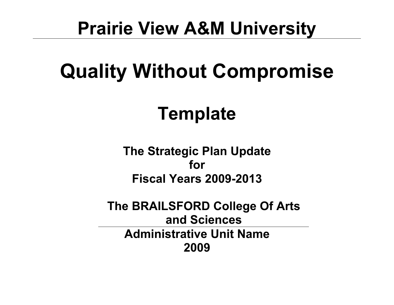## **Prairie View A&M University**

# **Quality Without Compromise**

## **Template**

**The Strategic Plan Update for Fiscal Years 2009-2013**

**The BRAILSFORD College Of Arts and Sciences Administrative Unit Name 2009**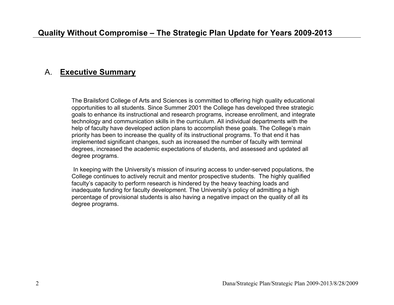#### A. **Executive Summary**

The Brailsford College of Arts and Sciences is committed to offering high quality educational opportunities to all students. Since Summer 2001 the College has developed three strategic goals to enhance its instructional and research programs, increase enrollment, and integrate technology and communication skills in the curriculum. All individual departments with the help of faculty have developed action plans to accomplish these goals. The College's main priority has been to increase the quality of its instructional programs. To that end it has implemented significant changes, such as increased the number of faculty with terminal degrees, increased the academic expectations of students, and assessed and updated all degree programs.

 In keeping with the University's mission of insuring access to under-served populations, the College continues to actively recruit and mentor prospective students. The highly qualified faculty's capacity to perform research is hindered by the heavy teaching loads and inadequate funding for faculty development. The University's policy of admitting a high percentage of provisional students is also having a negative impact on the quality of all its degree programs.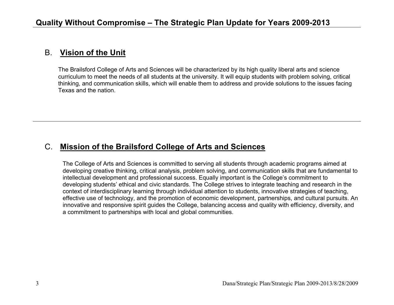#### B. **Vision of the Unit**

The Brailsford College of Arts and Sciences will be characterized by its high quality liberal arts and science curriculum to meet the needs of all students at the university. It will equip students with problem solving, critical thinking, and communication skills, which will enable them to address and provide solutions to the issues facing Texas and the nation.

#### C. **Mission of the Brailsford College of Arts and Sciences**

The College of Arts and Sciences is committed to serving all students through academic programs aimed at developing creative thinking, critical analysis, problem solving, and communication skills that are fundamental to intellectual development and professional success. Equally important is the College's commitment to developing students' ethical and civic standards. The College strives to integrate teaching and research in the context of interdisciplinary learning through individual attention to students, innovative strategies of teaching, effective use of technology, and the promotion of economic development, partnerships, and cultural pursuits. An innovative and responsive spirit guides the College, balancing access and quality with efficiency, diversity, and a commitment to partnerships with local and global communities.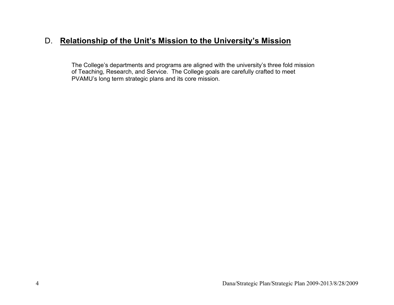### D. **Relationship of the Unit's Mission to the University's Mission**

The College's departments and programs are aligned with the university's three fold mission of Teaching, Research, and Service. The College goals are carefully crafted to meet PVAMU's long term strategic plans and its core mission.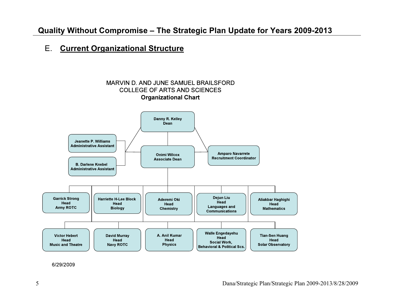### **Quality Without Compromise – The Strategic Plan Update for Years 2009-2013**

#### E. **Current Organizational Structure**



6/29/2009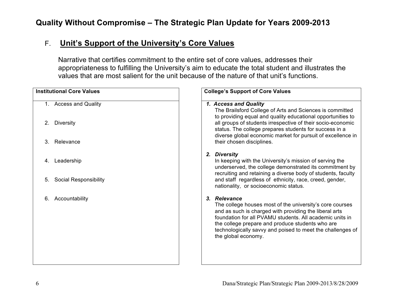## **Quality Without Compromise – The Strategic Plan Update for Years 2009-2013**

### F. **Unit's Support of the University's Core Values**

Narrative that certifies commitment to the entire set of core values, addresses their appropriateness to fulfilling the University's aim to educate the total student and illustrates the values that are most salient for the unit because of the nature of that unit's functions.

| <b>Institutional Core Values</b>   | <b>College's Support of Core Values</b>                                                                                                                                                                                                                                                                                                 |
|------------------------------------|-----------------------------------------------------------------------------------------------------------------------------------------------------------------------------------------------------------------------------------------------------------------------------------------------------------------------------------------|
|                                    |                                                                                                                                                                                                                                                                                                                                         |
| 1. Access and Quality              | 1. Access and Quality<br>The Brailsford College of Arts and Sciences is committed<br>to providing equal and quality educational opportunities to                                                                                                                                                                                        |
| <b>Diversity</b><br>2.             | all groups of students irrespective of their socio-economic<br>status. The college prepares students for success in a<br>diverse global economic market for pursuit of excellence in                                                                                                                                                    |
| Relevance<br>3.                    | their chosen disciplines.                                                                                                                                                                                                                                                                                                               |
| Leadership<br>4.                   | 2. Diversity<br>In keeping with the University's mission of serving the<br>underserved, the college demonstrated its commitment by<br>recruiting and retaining a diverse body of students, faculty                                                                                                                                      |
| <b>Social Responsibility</b><br>5. | and staff regardless of ethnicity, race, creed, gender,<br>nationality, or socioeconomic status.                                                                                                                                                                                                                                        |
| Accountability<br>6.               | 3. Relevance<br>The college houses most of the university's core courses<br>and as such is charged with providing the liberal arts<br>foundation for all PVAMU students. All academic units in<br>the college prepare and produce students who are<br>technologically savvy and poised to meet the challenges of<br>the global economy. |
|                                    |                                                                                                                                                                                                                                                                                                                                         |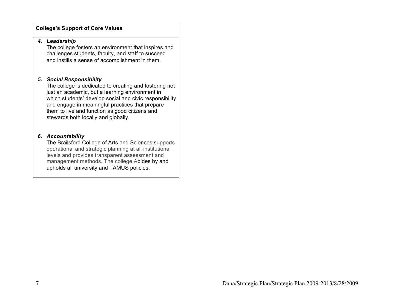#### **College's Support of Core Values**

#### *4. Leadership*

The college fosters an environment that inspires and challenges students, faculty, and staff to succeed and instills a sense of accomplishment in them.

#### *5. Social Responsibility*

The college is dedicated to creating and fostering not just an academic, but a learning environment in which students' develop social and civic responsibility and engage in meaningful practices that prepare them to live and function as good citizens and stewards both locally and globally.

#### *6. Accountability*

The Brailsford College of Arts and Sciences supports operational and strategic planning at all institutional levels and provides transparent assessment and management methods. The college Abides by and upholds all university and TAMUS policies.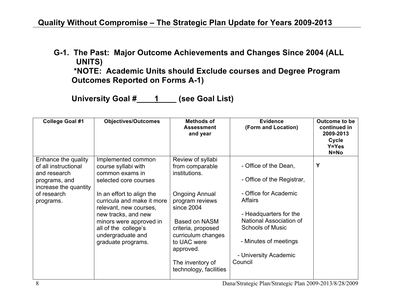**G-1. The Past: Major Outcome Achievements and Changes Since 2004 (ALL UNITS)** 

 **\*NOTE: Academic Units should Exclude courses and Degree Program Outcomes Reported on Forms A-1)** 

**University Goal #\_\_\_\_1\_\_\_\_ (see Goal List)**

| <b>College Goal #1</b>                                                                                                            | <b>Objectives/Outcomes</b>                                                                                                                                                                                                                                                                      | <b>Methods of</b><br><b>Assessment</b><br>and year                                                                                                                                                                                                     | <b>Evidence</b><br>(Form and Location)                                                                                                                                                                                                      | Outcome to be<br>continued in<br>2009-2013<br>Cycle<br>Y=Yes<br>$N = No$ |
|-----------------------------------------------------------------------------------------------------------------------------------|-------------------------------------------------------------------------------------------------------------------------------------------------------------------------------------------------------------------------------------------------------------------------------------------------|--------------------------------------------------------------------------------------------------------------------------------------------------------------------------------------------------------------------------------------------------------|---------------------------------------------------------------------------------------------------------------------------------------------------------------------------------------------------------------------------------------------|--------------------------------------------------------------------------|
| Enhance the quality<br>of all instructional<br>and research<br>programs, and<br>increase the quantity<br>of research<br>programs. | Implemented common<br>course syllabi with<br>common exams in<br>selected core courses<br>In an effort to align the<br>curricula and make it more<br>relevant, new courses,<br>new tracks, and new<br>minors were approved in<br>all of the college's<br>undergraduate and<br>graduate programs. | Review of syllabi<br>from comparable<br>institutions.<br><b>Ongoing Annual</b><br>program reviews<br>since 2004<br>Based on NASM<br>criteria, proposed<br>curriculum changes<br>to UAC were<br>approved.<br>The inventory of<br>technology, facilities | - Office of the Dean,<br>- Office of the Registrar,<br>- Office for Academic<br><b>Affairs</b><br>- Headquarters for the<br>National Association of<br><b>Schools of Music</b><br>- Minutes of meetings<br>- University Academic<br>Council | Y                                                                        |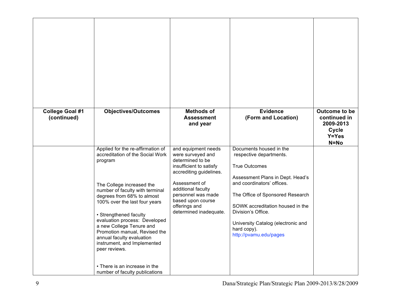| <b>College Goal #1</b><br>(continued) | <b>Objectives/Outcomes</b>                                                                                                                                                                                                                                                                                                                                                                                                                                                              | <b>Methods of</b><br><b>Assessment</b><br>and year                                                                                                                                                                                              | <b>Evidence</b><br>(Form and Location)                                                                                                                                                                                                                                                                                    | Outcome to be<br>continued in<br>2009-2013<br>Cycle<br>Y=Yes<br>$N = No$ |
|---------------------------------------|-----------------------------------------------------------------------------------------------------------------------------------------------------------------------------------------------------------------------------------------------------------------------------------------------------------------------------------------------------------------------------------------------------------------------------------------------------------------------------------------|-------------------------------------------------------------------------------------------------------------------------------------------------------------------------------------------------------------------------------------------------|---------------------------------------------------------------------------------------------------------------------------------------------------------------------------------------------------------------------------------------------------------------------------------------------------------------------------|--------------------------------------------------------------------------|
|                                       | Applied for the re-affirmation of<br>accreditation of the Social Work<br>program<br>The College increased the<br>number of faculty with terminal<br>degrees from 68% to almost<br>100% over the last four years<br>• Strengthened faculty<br>evaluation process: Developed<br>a new College Tenure and<br>Promotion manual, Revised the<br>annual faculty evaluation<br>instrument, and Implemented<br>peer reviews.<br>• There is an increase in the<br>number of faculty publications | and equipment needs<br>were surveyed and<br>determined to be<br>insufficient to satisfy<br>accrediting guidelines.<br>Assessment of<br>additional faculty<br>personnel was made<br>based upon course<br>offerings and<br>determined inadequate. | Documents housed in the<br>respective departments.<br><b>True Outcomes</b><br>Assessment Plans in Dept. Head's<br>and coordinators' offices.<br>The Office of Sponsored Research<br>SOWK accreditation housed in the<br>Division's Office.<br>University Catalog (electronic and<br>hard copy).<br>http://pvamu.edu/pages |                                                                          |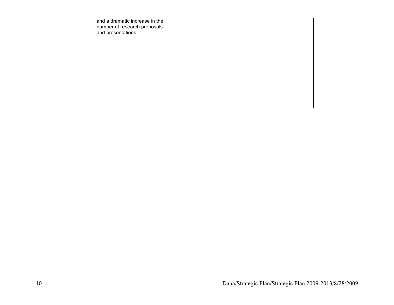| and a dramatic increase in the<br>number of research proposals<br>and presentations. |  |  |
|--------------------------------------------------------------------------------------|--|--|
|                                                                                      |  |  |
|                                                                                      |  |  |
|                                                                                      |  |  |
|                                                                                      |  |  |
|                                                                                      |  |  |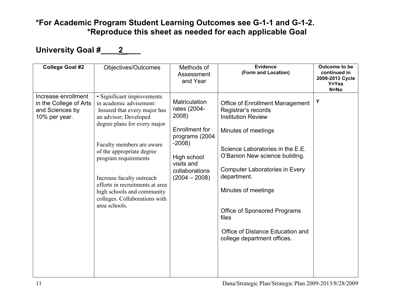### **\*For Academic Program Student Learning Outcomes see G-1-1 and G-1-2. \*Reproduce this sheet as needed for each applicable Goal**

## University Goal #\_\_\_\_2\_\_\_

| <b>College Goal #2</b>                                                            | Objectives/Outcomes                                                                                                                                                                                                                                                                                                                                                              | Methods of<br>Assessment<br>and Year                                                                                                                           | <b>Evidence</b><br>(Form and Location)                                                                                                                                                                                                                                                                                                                                             | Outcome to be<br>continued in<br>2009-2013 Cycle<br>Y=Yes<br>N=No |
|-----------------------------------------------------------------------------------|----------------------------------------------------------------------------------------------------------------------------------------------------------------------------------------------------------------------------------------------------------------------------------------------------------------------------------------------------------------------------------|----------------------------------------------------------------------------------------------------------------------------------------------------------------|------------------------------------------------------------------------------------------------------------------------------------------------------------------------------------------------------------------------------------------------------------------------------------------------------------------------------------------------------------------------------------|-------------------------------------------------------------------|
| Increase enrollment<br>in the College of Arts<br>and Sciences by<br>10% per year. | · Significant improvements<br>in academic advisement:<br>Insured that every major has<br>an advisor; Developed<br>degree plans for every major<br>Faculty members are aware<br>of the appropriate degree<br>program requirements<br>Increase faculty outreach<br>efforts in recruitments at area<br>high schools and community<br>colleges. Collaborations with<br>area schools. | <b>Matriculation</b><br>rates (2004-<br>2008)<br>Enrollment for<br>programs (2004<br>$-2008$<br>High school<br>visits and<br>collaborations<br>$(2004 - 2008)$ | <b>Office of Enrollment Management</b><br>Registrar's records<br><b>Institution Review</b><br>Minutes of meetings<br>Science Laboratories in the E.E.<br>O'Banion New science building.<br><b>Computer Laboratories in Every</b><br>department.<br>Minutes of meetings<br>Office of Sponsored Programs<br>files<br>Office of Distance Education and<br>college department offices. | Y                                                                 |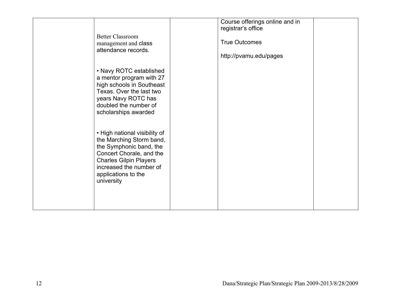| <b>Better Classroom</b><br>management and class<br>attendance records.<br>• Navy ROTC established<br>a mentor program with 27<br>high schools in Southeast<br>Texas. Over the last two<br>years Navy ROTC has<br>doubled the number of<br>scholarships awarded | Course offerings online and in<br>registrar's office<br><b>True Outcomes</b><br>http://pvamu.edu/pages |  |
|----------------------------------------------------------------------------------------------------------------------------------------------------------------------------------------------------------------------------------------------------------------|--------------------------------------------------------------------------------------------------------|--|
| • High national visibility of<br>the Marching Storm band,<br>the Symphonic band, the<br>Concert Chorale, and the<br><b>Charles Gilpin Players</b><br>increased the number of<br>applications to the<br>university                                              |                                                                                                        |  |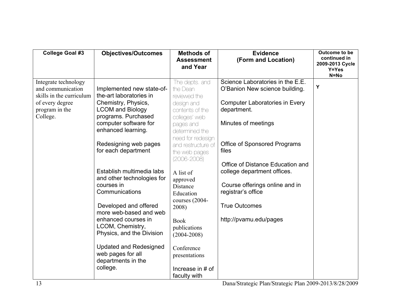| <b>College Goal #3</b>                                                                                     | <b>Objectives/Outcomes</b>                                                                             | <b>Methods of</b><br><b>Assessment</b><br>and Year                          | <b>Evidence</b><br>(Form and Location)                                                                                     | Outcome to be<br>continued in<br>2009-2013 Cycle<br>Y=Yes<br>$N = No$ |
|------------------------------------------------------------------------------------------------------------|--------------------------------------------------------------------------------------------------------|-----------------------------------------------------------------------------|----------------------------------------------------------------------------------------------------------------------------|-----------------------------------------------------------------------|
| Integrate technology<br>and communication<br>skills in the curriculum<br>of every degree<br>program in the | Implemented new state-of-<br>the-art laboratories in<br>Chemistry, Physics,<br><b>LCOM and Biology</b> | The depts, and<br>the Dean<br>reviewed the<br>design and<br>contents of the | Science Laboratories in the E.E.<br>O'Banion New science building.<br><b>Computer Laboratories in Every</b><br>department. | Y                                                                     |
| College.                                                                                                   | programs. Purchased<br>computer software for<br>enhanced learning.                                     | colleges' web<br>pages and<br>determined the<br>need for redesign           | Minutes of meetings                                                                                                        |                                                                       |
|                                                                                                            | Redesigning web pages<br>for each department                                                           | and restructure of<br>the web pages<br>$(2006 - 2008)$                      | <b>Office of Sponsored Programs</b><br>files<br>Office of Distance Education and                                           |                                                                       |
|                                                                                                            | Establish multimedia labs<br>and other technologies for<br>courses in<br>Communications                | A list of<br>approved<br>Distance<br>Education                              | college department offices.<br>Course offerings online and in<br>registrar's office                                        |                                                                       |
|                                                                                                            | Developed and offered<br>more web-based and web<br>enhanced courses in                                 | courses (2004-<br>2008)<br><b>Book</b>                                      | <b>True Outcomes</b><br>http://pvamu.edu/pages                                                                             |                                                                       |
|                                                                                                            | LCOM, Chemistry,<br>Physics, and the Division                                                          | publications<br>$(2004 - 2008)$                                             |                                                                                                                            |                                                                       |
|                                                                                                            | <b>Updated and Redesigned</b><br>web pages for all<br>departments in the<br>college.                   | Conference<br>presentations<br>Increase in # of<br>faculty with             |                                                                                                                            |                                                                       |